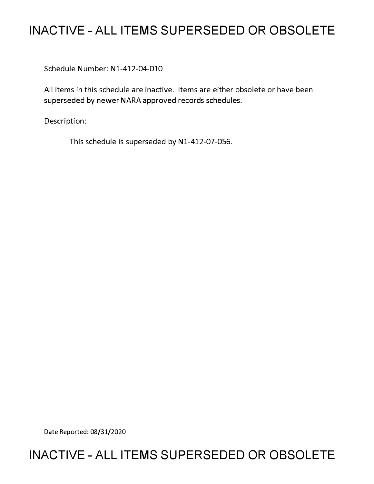# **INACTIVE - ALL ITEMS SUPERSEDED OR OBSOLETE**

Schedule Number: Nl-412-04-010

All items in this schedule are inactive. Items are either obsolete or have been superseded by newer NARA approved records schedules.

Description:

This schedule is superseded by N1-412-07-056.

Date Reported: 08/31/2020

# **INACTIVE - ALL ITEMS SUPERSEDED OR OBSOLETE**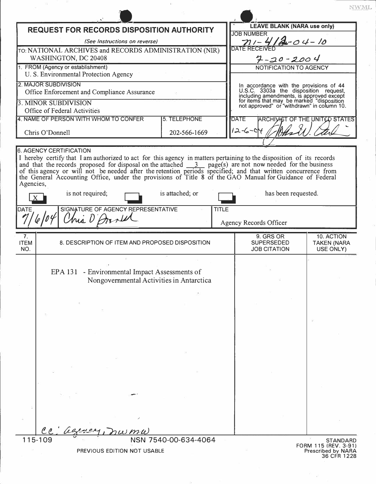| <b>REQUEST FOR RECORDS DISPOSITION AUTHORITY</b>                                                                                                                                                                          |                                          | <b>LEAVE BLANK (NARA use only)</b>                                                                                                                                                                                      |                                      |
|---------------------------------------------------------------------------------------------------------------------------------------------------------------------------------------------------------------------------|------------------------------------------|-------------------------------------------------------------------------------------------------------------------------------------------------------------------------------------------------------------------------|--------------------------------------|
|                                                                                                                                                                                                                           |                                          | <b>JOB NUMBER</b>                                                                                                                                                                                                       |                                      |
| (See Instructions on reverse)                                                                                                                                                                                             |                                          | $4 - 04 - 10$<br>$711-$                                                                                                                                                                                                 |                                      |
| TO: NATIONAL ARCHIVES and RECORDS ADMINISTRATION (NIR)<br>WASHINGTON, DC 20408                                                                                                                                            |                                          |                                                                                                                                                                                                                         |                                      |
| 1. FROM (Agency or establishment)                                                                                                                                                                                         |                                          | $7 - 20 - 2004$<br>NOTIFICATION TO AGENCY                                                                                                                                                                               |                                      |
| U. S. Environmental Protection Agency                                                                                                                                                                                     |                                          |                                                                                                                                                                                                                         |                                      |
| 2. MAJOR SUBDIVISION                                                                                                                                                                                                      |                                          |                                                                                                                                                                                                                         |                                      |
| Office Enforcement and Compliance Assurance                                                                                                                                                                               |                                          | In accordance with the provisions of 44<br>U.S.C. 3303a the disposition request,<br>including amendments, is approved except<br>for items that may be marked "disposition<br>not approved" or "withdrawn" in column 10. |                                      |
| <b>3. MINOR SUBDIVISION</b>                                                                                                                                                                                               |                                          |                                                                                                                                                                                                                         |                                      |
| Office of Federal Activities                                                                                                                                                                                              |                                          |                                                                                                                                                                                                                         |                                      |
| 4. NAME OF PERSON WITH WHOM TO CONFER                                                                                                                                                                                     | 5. TELEPHONE                             | <b>DATE</b>                                                                                                                                                                                                             | <b>ARCHIVET OF THE UNITED STATES</b> |
| Chris O'Donnell<br>202-566-1669                                                                                                                                                                                           |                                          | $12 - 6 - 04$                                                                                                                                                                                                           |                                      |
|                                                                                                                                                                                                                           |                                          |                                                                                                                                                                                                                         |                                      |
| 6. AGENCY CERTIFICATION                                                                                                                                                                                                   |                                          |                                                                                                                                                                                                                         |                                      |
| I hereby certify that I am authorized to act for this agency in matters pertaining to the disposition of its records                                                                                                      |                                          |                                                                                                                                                                                                                         |                                      |
| and that the records proposed for disposal on the attached $\frac{3}{2}$ page(s) are not now needed for the business                                                                                                      |                                          |                                                                                                                                                                                                                         |                                      |
| of this agency or will not be needed after the retention periods specified; and that written concurrence from<br>the General Accounting Office, under the provisions of Title 8 of the GAO Manual for Guidance of Federal |                                          |                                                                                                                                                                                                                         |                                      |
| Agencies,                                                                                                                                                                                                                 |                                          |                                                                                                                                                                                                                         |                                      |
| is not required;                                                                                                                                                                                                          | is attached; or                          | has been requested.                                                                                                                                                                                                     |                                      |
|                                                                                                                                                                                                                           |                                          |                                                                                                                                                                                                                         |                                      |
| SIGNATURE OF AGENCY REPRESENTATIVE<br>DATE                                                                                                                                                                                | <b>TITLE</b>                             |                                                                                                                                                                                                                         |                                      |
| his O Arril                                                                                                                                                                                                               |                                          |                                                                                                                                                                                                                         |                                      |
|                                                                                                                                                                                                                           |                                          |                                                                                                                                                                                                                         |                                      |
|                                                                                                                                                                                                                           |                                          | Agency Records Officer                                                                                                                                                                                                  |                                      |
| 7.                                                                                                                                                                                                                        |                                          | 9. GRS OR                                                                                                                                                                                                               | 10. ACTION                           |
| 8. DESCRIPTION OF ITEM AND PROPOSED DISPOSITION                                                                                                                                                                           |                                          | <b>SUPERSEDED</b>                                                                                                                                                                                                       | <b>TAKEN (NARA</b>                   |
| <b>ITEM</b><br>NO.                                                                                                                                                                                                        |                                          | <b>JOB CITATION</b>                                                                                                                                                                                                     | USE ONLY)                            |
|                                                                                                                                                                                                                           |                                          |                                                                                                                                                                                                                         |                                      |
| EPA 131 - Environmental Impact Assessments of                                                                                                                                                                             |                                          |                                                                                                                                                                                                                         |                                      |
|                                                                                                                                                                                                                           | Nongovernmental Activities in Antarctica |                                                                                                                                                                                                                         |                                      |
|                                                                                                                                                                                                                           |                                          |                                                                                                                                                                                                                         |                                      |
|                                                                                                                                                                                                                           |                                          |                                                                                                                                                                                                                         |                                      |
|                                                                                                                                                                                                                           |                                          |                                                                                                                                                                                                                         |                                      |
|                                                                                                                                                                                                                           |                                          |                                                                                                                                                                                                                         |                                      |
|                                                                                                                                                                                                                           |                                          |                                                                                                                                                                                                                         |                                      |
|                                                                                                                                                                                                                           |                                          |                                                                                                                                                                                                                         |                                      |
|                                                                                                                                                                                                                           |                                          |                                                                                                                                                                                                                         |                                      |
|                                                                                                                                                                                                                           |                                          |                                                                                                                                                                                                                         |                                      |
|                                                                                                                                                                                                                           |                                          |                                                                                                                                                                                                                         |                                      |
|                                                                                                                                                                                                                           |                                          |                                                                                                                                                                                                                         |                                      |
|                                                                                                                                                                                                                           |                                          |                                                                                                                                                                                                                         |                                      |
|                                                                                                                                                                                                                           |                                          |                                                                                                                                                                                                                         |                                      |
|                                                                                                                                                                                                                           |                                          |                                                                                                                                                                                                                         |                                      |
|                                                                                                                                                                                                                           |                                          |                                                                                                                                                                                                                         |                                      |
|                                                                                                                                                                                                                           |                                          |                                                                                                                                                                                                                         |                                      |
|                                                                                                                                                                                                                           |                                          |                                                                                                                                                                                                                         |                                      |

 $\approx \frac{1}{B}$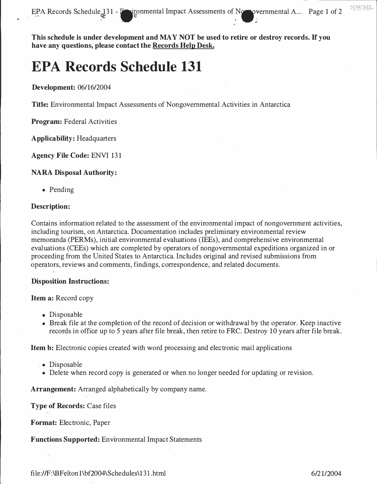**This schedule is under development and MAY NOT be used to retire or destroy records.** If **you have any questions, please contact the Records Help Desk.** 

# **EPA Records Schedule 131**

# **Development:** 06/16/2004

**Title:** Environmental Impact Assessments of Nongovernmental Activities in Antarctica

**Program:** Federal Activities

**Applicability:** Headquarters

**Agency File Code:** ENVI 131

# **NARA Disposal Authority:**

• Pending

# **Description:**

Contains information related to the assessment of the environmental impact of nongovernment activities, including tourism, on Antarctica. Documentation includes preliminary environmental review memoranda (PERMs), initial environmental evaluations (IEEs), and comprehensive environmental evaluations (CEEs) which are completed by operators of nongovernmental expeditions organized in or proceeding from the United States to Antarctica. Includes original and revised submissions from proceeding from the United States to Antarctica. Includes original and revised submissions from operators, reviews and comments, findings, correspondence, and relate� documents.

# **Disposition Instructions:**

#### **Item a:** Record copy

- 
- Disposable<br>• Break file at the completion of the record of decision or withdrawal by the operator. Keep inactive • Break file at the completion of the record of decision or withdrawal by the operator. Keep machive records in office up to 5 years after file break, then retire to FRC. Destroy 10 years after file break.

**Item b:** Electronic copies created with word processing and electronic mail applications

- 
- Disposable<br>• Delete ube • Delete when record copy is generated or when no longer needed for updating or revision.

**Arrangement:** Arranged alphabetically by company name.

#### **Type of Records:** Case files

**Format:** Electronic, Paper

**Functions Supported:** Environmental Impact Statements